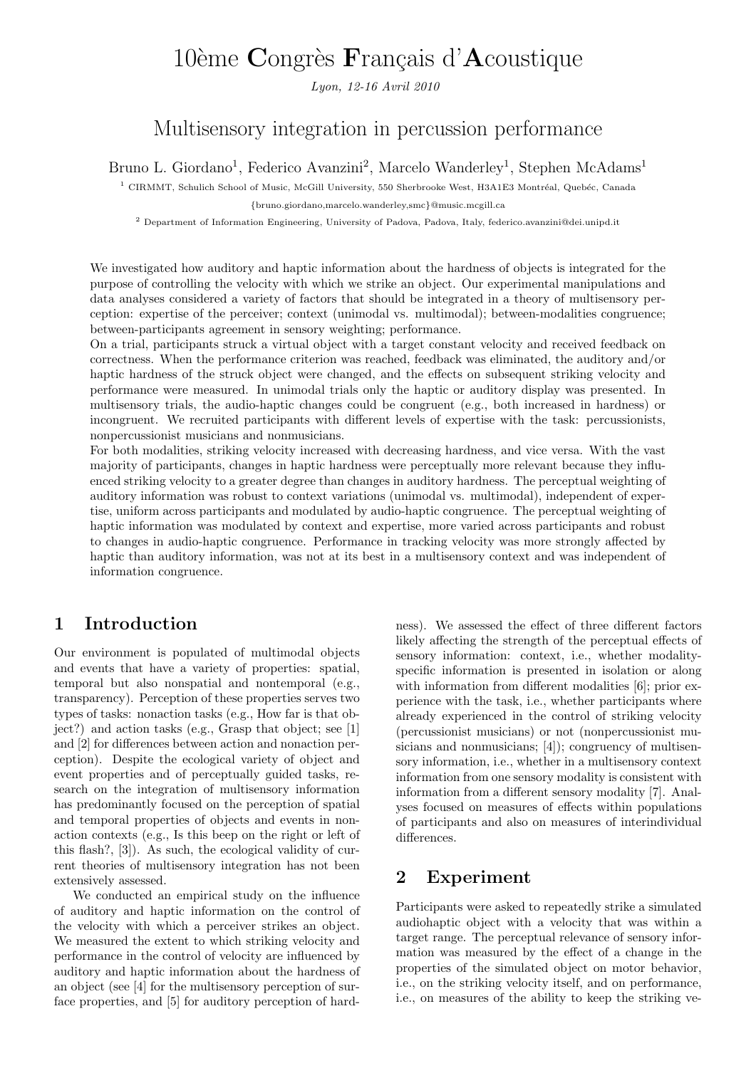# 10ème Congrès Français d'Acoustique

Lyon, 12-16 Avril 2010

## Multisensory integration in percussion performance

Bruno L. Giordano<sup>1</sup>, Federico Avanzini<sup>2</sup>, Marcelo Wanderley<sup>1</sup>, Stephen McAdams<sup>1</sup>

 $1$  CIRMMT, Schulich School of Music, McGill University, 550 Sherbrooke West, H3A1E3 Montréal, Quebéc, Canada

{bruno.giordano,marcelo.wanderley,smc}@music.mcgill.ca

<sup>2</sup> Department of Information Engineering, University of Padova, Padova, Italy, federico.avanzini@dei.unipd.it

We investigated how auditory and haptic information about the hardness of objects is integrated for the purpose of controlling the velocity with which we strike an object. Our experimental manipulations and data analyses considered a variety of factors that should be integrated in a theory of multisensory perception: expertise of the perceiver; context (unimodal vs. multimodal); between-modalities congruence; between-participants agreement in sensory weighting; performance.

On a trial, participants struck a virtual object with a target constant velocity and received feedback on correctness. When the performance criterion was reached, feedback was eliminated, the auditory and/or haptic hardness of the struck object were changed, and the effects on subsequent striking velocity and performance were measured. In unimodal trials only the haptic or auditory display was presented. In multisensory trials, the audio-haptic changes could be congruent (e.g., both increased in hardness) or incongruent. We recruited participants with different levels of expertise with the task: percussionists, nonpercussionist musicians and nonmusicians.

For both modalities, striking velocity increased with decreasing hardness, and vice versa. With the vast majority of participants, changes in haptic hardness were perceptually more relevant because they influenced striking velocity to a greater degree than changes in auditory hardness. The perceptual weighting of auditory information was robust to context variations (unimodal vs. multimodal), independent of expertise, uniform across participants and modulated by audio-haptic congruence. The perceptual weighting of haptic information was modulated by context and expertise, more varied across participants and robust to changes in audio-haptic congruence. Performance in tracking velocity was more strongly affected by haptic than auditory information, was not at its best in a multisensory context and was independent of information congruence.

## 1 Introduction

Our environment is populated of multimodal objects and events that have a variety of properties: spatial, temporal but also nonspatial and nontemporal (e.g., transparency). Perception of these properties serves two types of tasks: nonaction tasks (e.g., How far is that object?) and action tasks (e.g., Grasp that object; see [1] and [2] for differences between action and nonaction perception). Despite the ecological variety of object and event properties and of perceptually guided tasks, research on the integration of multisensory information has predominantly focused on the perception of spatial and temporal properties of objects and events in nonaction contexts (e.g., Is this beep on the right or left of this flash?, [3]). As such, the ecological validity of current theories of multisensory integration has not been extensively assessed.

We conducted an empirical study on the influence of auditory and haptic information on the control of the velocity with which a perceiver strikes an object. We measured the extent to which striking velocity and performance in the control of velocity are influenced by auditory and haptic information about the hardness of an object (see [4] for the multisensory perception of surface properties, and [5] for auditory perception of hardness). We assessed the effect of three different factors likely affecting the strength of the perceptual effects of sensory information: context, i.e., whether modalityspecific information is presented in isolation or along with information from different modalities [6]; prior experience with the task, i.e., whether participants where already experienced in the control of striking velocity (percussionist musicians) or not (nonpercussionist musicians and nonmusicians; [4]); congruency of multisensory information, i.e., whether in a multisensory context information from one sensory modality is consistent with information from a different sensory modality [7]. Analyses focused on measures of effects within populations of participants and also on measures of interindividual differences.

### 2 Experiment

Participants were asked to repeatedly strike a simulated audiohaptic object with a velocity that was within a target range. The perceptual relevance of sensory information was measured by the effect of a change in the properties of the simulated object on motor behavior, i.e., on the striking velocity itself, and on performance, i.e., on measures of the ability to keep the striking ve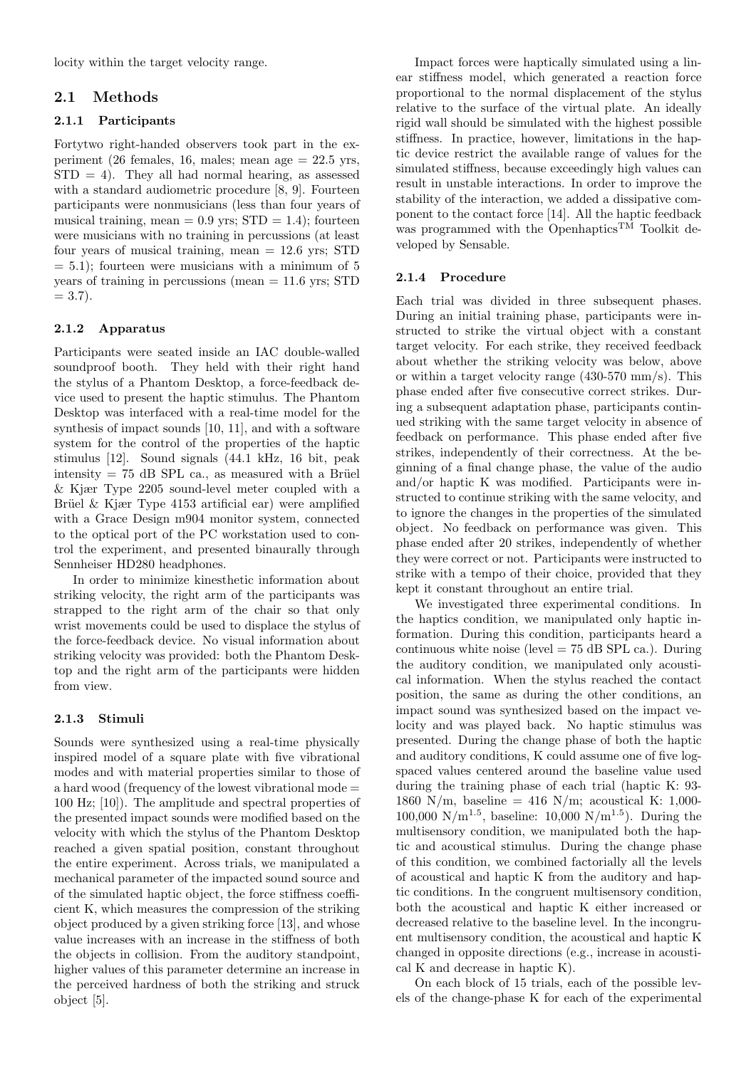locity within the target velocity range.

#### 2.1 Methods

#### 2.1.1 Participants

Fortytwo right-handed observers took part in the experiment (26 females, 16, males; mean age = 22.5 yrs,  $STD = 4$ . They all had normal hearing, as assessed with a standard audiometric procedure [8, 9]. Fourteen participants were nonmusicians (less than four years of musical training, mean  $= 0.9$  yrs;  $STD = 1.4$ ; fourteen were musicians with no training in percussions (at least four years of musical training, mean = 12.6 yrs; STD  $= 5.1$ ; fourteen were musicians with a minimum of 5 years of training in percussions (mean = 11.6 yrs; STD  $= 3.7$ .

#### 2.1.2 Apparatus

Participants were seated inside an IAC double-walled soundproof booth. They held with their right hand the stylus of a Phantom Desktop, a force-feedback device used to present the haptic stimulus. The Phantom Desktop was interfaced with a real-time model for the synthesis of impact sounds [10, 11], and with a software system for the control of the properties of the haptic stimulus [12]. Sound signals (44.1 kHz, 16 bit, peak intensity = 75 dB SPL ca., as measured with a Brüel & Kjær Type 2205 sound-level meter coupled with a Brüel & Kjær Type  $4153$  artificial ear) were amplified with a Grace Design m904 monitor system, connected to the optical port of the PC workstation used to control the experiment, and presented binaurally through Sennheiser HD280 headphones.

In order to minimize kinesthetic information about striking velocity, the right arm of the participants was strapped to the right arm of the chair so that only wrist movements could be used to displace the stylus of the force-feedback device. No visual information about striking velocity was provided: both the Phantom Desktop and the right arm of the participants were hidden from view.

#### 2.1.3 Stimuli

Sounds were synthesized using a real-time physically inspired model of a square plate with five vibrational modes and with material properties similar to those of a hard wood (frequency of the lowest vibrational mode = 100 Hz; [10]). The amplitude and spectral properties of the presented impact sounds were modified based on the velocity with which the stylus of the Phantom Desktop reached a given spatial position, constant throughout the entire experiment. Across trials, we manipulated a mechanical parameter of the impacted sound source and of the simulated haptic object, the force stiffness coefficient K, which measures the compression of the striking object produced by a given striking force [13], and whose value increases with an increase in the stiffness of both the objects in collision. From the auditory standpoint, higher values of this parameter determine an increase in the perceived hardness of both the striking and struck object [5].

Impact forces were haptically simulated using a linear stiffness model, which generated a reaction force proportional to the normal displacement of the stylus relative to the surface of the virtual plate. An ideally rigid wall should be simulated with the highest possible stiffness. In practice, however, limitations in the haptic device restrict the available range of values for the simulated stiffness, because exceedingly high values can result in unstable interactions. In order to improve the stability of the interaction, we added a dissipative component to the contact force [14]. All the haptic feedback was programmed with the Openhaptics<sup>TM</sup> Toolkit developed by Sensable.

#### 2.1.4 Procedure

Each trial was divided in three subsequent phases. During an initial training phase, participants were instructed to strike the virtual object with a constant target velocity. For each strike, they received feedback about whether the striking velocity was below, above or within a target velocity range (430-570 mm/s). This phase ended after five consecutive correct strikes. During a subsequent adaptation phase, participants continued striking with the same target velocity in absence of feedback on performance. This phase ended after five strikes, independently of their correctness. At the beginning of a final change phase, the value of the audio and/or haptic K was modified. Participants were instructed to continue striking with the same velocity, and to ignore the changes in the properties of the simulated object. No feedback on performance was given. This phase ended after 20 strikes, independently of whether they were correct or not. Participants were instructed to strike with a tempo of their choice, provided that they kept it constant throughout an entire trial.

We investigated three experimental conditions. In the haptics condition, we manipulated only haptic information. During this condition, participants heard a continuous white noise (level  $= 75$  dB SPL ca.). During the auditory condition, we manipulated only acoustical information. When the stylus reached the contact position, the same as during the other conditions, an impact sound was synthesized based on the impact velocity and was played back. No haptic stimulus was presented. During the change phase of both the haptic and auditory conditions, K could assume one of five logspaced values centered around the baseline value used during the training phase of each trial (haptic K: 93- 1860 N/m, baseline = 416 N/m; acoustical K: 1,000-100,000 N/m<sup>1.5</sup>, baseline: 10,000 N/m<sup>1.5</sup>). During the multisensory condition, we manipulated both the haptic and acoustical stimulus. During the change phase of this condition, we combined factorially all the levels of acoustical and haptic K from the auditory and haptic conditions. In the congruent multisensory condition, both the acoustical and haptic K either increased or decreased relative to the baseline level. In the incongruent multisensory condition, the acoustical and haptic K changed in opposite directions (e.g., increase in acoustical K and decrease in haptic K).

On each block of 15 trials, each of the possible levels of the change-phase K for each of the experimental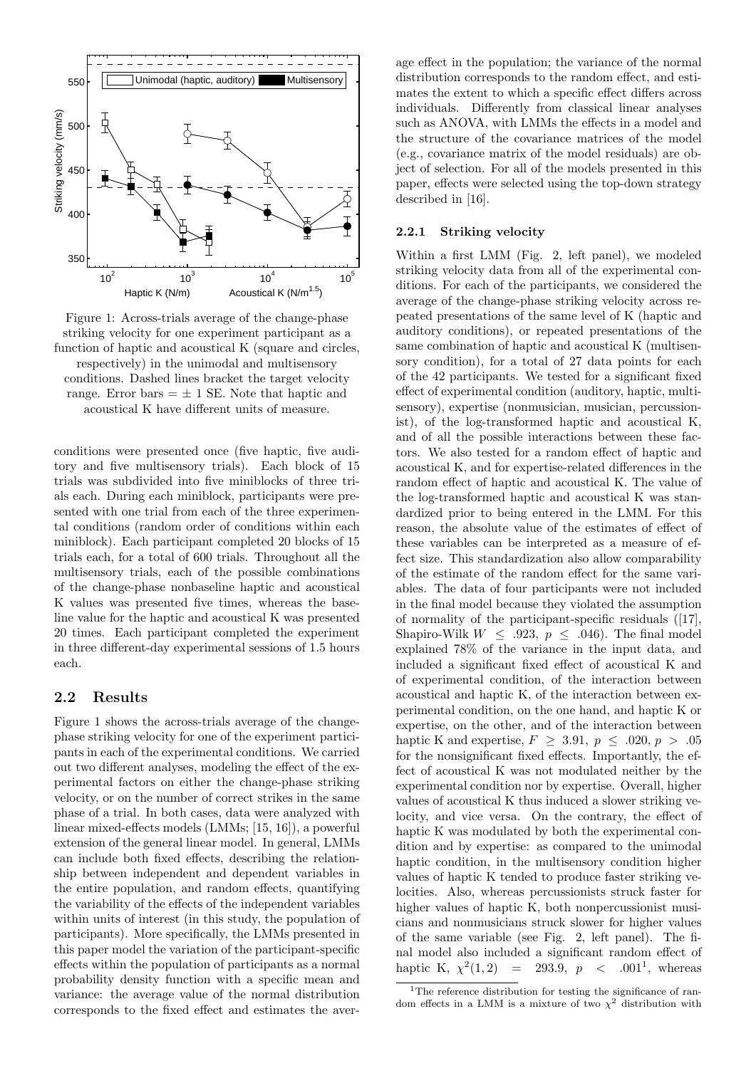

Figure 1: Across-trials average of the change-phase striking velocity for one experiment participant as a function of haptic and acoustical K (square and circles, respectively) in the unimodal and multisensory conditions. Dashed lines bracket the target velocity range. Error bars  $= \pm 1$  SE. Note that haptic and acoustical K have different units of measure.

conditions were presented once (five haptic, five auditory and five multisensory trials). Each block of 15 trials was subdivided into five miniblocks of three trials each. During each miniblock, participants were presented with one trial from each of the three experimental conditions (random order of conditions within each miniblock). Each participant completed 20 blocks of 15 trials each, for a total of 600 trials. Throughout all the multisensory trials, each of the possible combinations of the change-phase nonbaseline haptic and acoustical K values was presented five times, whereas the baseline value for the haptic and acoustical K was presented 20 times. Each participant completed the experiment in three different-day experimental sessions of 1.5 hours each.

#### 2.2 Results

Figure 1 shows the across-trials average of the changephase striking velocity for one of the experiment participants in each of the experimental conditions. We carried out two different analyses, modeling the effect of the experimental factors on either the change-phase striking velocity, or on the number of correct strikes in the same phase of a trial. In both cases, data were analyzed with linear mixed-effects models (LMMs; [15, 16]), a powerful extension of the general linear model. In general, LMMs can include both fixed effects, describing the relationship between independent and dependent variables in the entire population, and random effects, quantifying the variability of the effects of the independent variables within units of interest (in this study, the population of participants). More specifically, the LMMs presented in this paper model the variation of the participant-specific effects within the population of participants as a normal probability density function with a specific mean and variance: the average value of the normal distribution corresponds to the fixed effect and estimates the average effect in the population; the variance of the normal distribution corresponds to the random effect, and estimates the extent to which a specific effect differs across individuals. Differently from classical linear analyses such as ANOVA, with LMMs the effects in a model and the structure of the covariance matrices of the model (e.g., covariance matrix of the model residuals) are object of selection. For all of the models presented in this paper, effects were selected using the top-down strategy described in [16].

#### 2.2.1 Striking velocity

Within a first LMM (Fig. 2, left panel), we modeled striking velocity data from all of the experimental conditions. For each of the participants, we considered the average of the change-phase striking velocity across repeated presentations of the same level of K (haptic and auditory conditions), or repeated presentations of the same combination of haptic and acoustical K (multisensory condition), for a total of 27 data points for each of the 42 participants. We tested for a significant fixed effect of experimental condition (auditory, haptic, multisensory), expertise (nonmusician, musician, percussionist), of the log-transformed haptic and acoustical K, and of all the possible interactions between these factors. We also tested for a random effect of haptic and acoustical K, and for expertise-related differences in the random effect of haptic and acoustical K. The value of the log-transformed haptic and acoustical K was standardized prior to being entered in the LMM. For this reason, the absolute value of the estimates of effect of these variables can be interpreted as a measure of effect size. This standardization also allow comparability of the estimate of the random effect for the same variables. The data of four participants were not included in the final model because they violated the assumption of normality of the participant-specific residuals ([17], Shapiro-Wilk  $W \leq .923, p \leq .046$ . The final model explained 78% of the variance in the input data, and included a significant fixed effect of acoustical K and of experimental condition, of the interaction between acoustical and haptic K, of the interaction between experimental condition, on the one hand, and haptic K or expertise, on the other, and of the interaction between haptic K and expertise,  $F \geq 3.91, p \leq .020, p > .05$ for the nonsignificant fixed effects. Importantly, the effect of acoustical K was not modulated neither by the experimental condition nor by expertise. Overall, higher values of acoustical K thus induced a slower striking velocity, and vice versa. On the contrary, the effect of haptic K was modulated by both the experimental condition and by expertise: as compared to the unimodal haptic condition, in the multisensory condition higher values of haptic K tended to produce faster striking velocities. Also, whereas percussionists struck faster for higher values of haptic K, both nonpercussionist musicians and nonmusicians struck slower for higher values of the same variable (see Fig. 2, left panel). The final model also included a significant random effect of haptic K,  $\chi^2$  $(1,2) = 293.9, p < .001<sup>1</sup>,$  whereas

<sup>&</sup>lt;sup>1</sup>The reference distribution for testing the significance of random effects in a LMM is a mixture of two  $\chi^2$  distribution with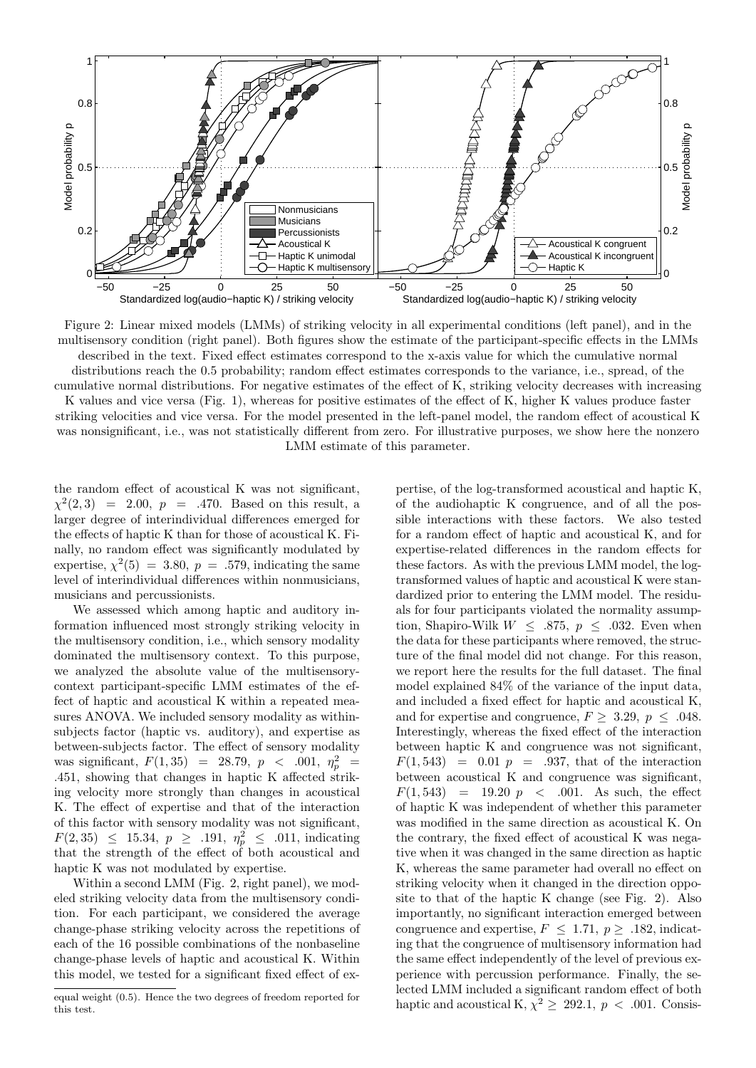

Figure 2: Linear mixed models (LMMs) of striking velocity in all experimental conditions (left panel), and in the multisensory condition (right panel). Both figures show the estimate of the participant-specific effects in the LMMs described in the text. Fixed effect estimates correspond to the x-axis value for which the cumulative normal distributions reach the 0.5 probability; random effect estimates corresponds to the variance, i.e., spread, of the cumulative normal distributions. For negative estimates of the effect of K, striking velocity decreases with increasing

K values and vice versa (Fig. 1), whereas for positive estimates of the effect of K, higher K values produce faster striking velocities and vice versa. For the model presented in the left-panel model, the random effect of acoustical K was nonsignificant, i.e., was not statistically different from zero. For illustrative purposes, we show here the nonzero LMM estimate of this parameter.

the random effect of acoustical K was not significant,  $\chi^2(2,3) = 2.00, p = .470$ . Based on this result, a larger degree of interindividual differences emerged for the effects of haptic K than for those of acoustical K. Finally, no random effect was significantly modulated by expertise,  $\chi^2(5) = 3.80, p = .579$ , indicating the same level of interindividual differences within nonmusicians, musicians and percussionists.

We assessed which among haptic and auditory information influenced most strongly striking velocity in the multisensory condition, i.e., which sensory modality dominated the multisensory context. To this purpose, we analyzed the absolute value of the multisensorycontext participant-specific LMM estimates of the effect of haptic and acoustical K within a repeated measures ANOVA. We included sensory modality as withinsubjects factor (haptic vs. auditory), and expertise as between-subjects factor. The effect of sensory modality was significant,  $F(1,35) = 28.79, p < .001, \eta_p^2 =$ .451, showing that changes in haptic K affected striking velocity more strongly than changes in acoustical K. The effect of expertise and that of the interaction of this factor with sensory modality was not significant,  $F(2,35) \leq 15.34, p \geq .191, \eta_p^2 \leq .011$ , indicating that the strength of the effect of both acoustical and haptic K was not modulated by expertise.

Within a second LMM (Fig. 2, right panel), we modeled striking velocity data from the multisensory condition. For each participant, we considered the average change-phase striking velocity across the repetitions of each of the 16 possible combinations of the nonbaseline change-phase levels of haptic and acoustical K. Within this model, we tested for a significant fixed effect of expertise, of the log-transformed acoustical and haptic K, of the audiohaptic K congruence, and of all the possible interactions with these factors. We also tested for a random effect of haptic and acoustical K, and for expertise-related differences in the random effects for these factors. As with the previous LMM model, the logtransformed values of haptic and acoustical K were standardized prior to entering the LMM model. The residuals for four participants violated the normality assumption, Shapiro-Wilk  $W \leq .875, p \leq .032$ . Even when the data for these participants where removed, the structure of the final model did not change. For this reason, we report here the results for the full dataset. The final model explained 84% of the variance of the input data, and included a fixed effect for haptic and acoustical K, and for expertise and congruence,  $F \geq 3.29, p \leq .048$ . Interestingly, whereas the fixed effect of the interaction between haptic K and congruence was not significant,  $F(1, 543) = 0.01$   $p = .937$ , that of the interaction between acoustical K and congruence was significant,  $F(1, 543) = 19.20 \, p \, \leq \, .001.$  As such, the effect of haptic K was independent of whether this parameter was modified in the same direction as acoustical K. On the contrary, the fixed effect of acoustical K was negative when it was changed in the same direction as haptic K, whereas the same parameter had overall no effect on striking velocity when it changed in the direction opposite to that of the haptic K change (see Fig. 2). Also importantly, no significant interaction emerged between congruence and expertise,  $F \leq 1.71$ ,  $p \geq .182$ , indicating that the congruence of multisensory information had the same effect independently of the level of previous experience with percussion performance. Finally, the selected LMM included a significant random effect of both haptic and acoustical K,  $\chi^2 \geq 292.1$ ,  $p < .001$ . Consis-

equal weight (0.5). Hence the two degrees of freedom reported for this test.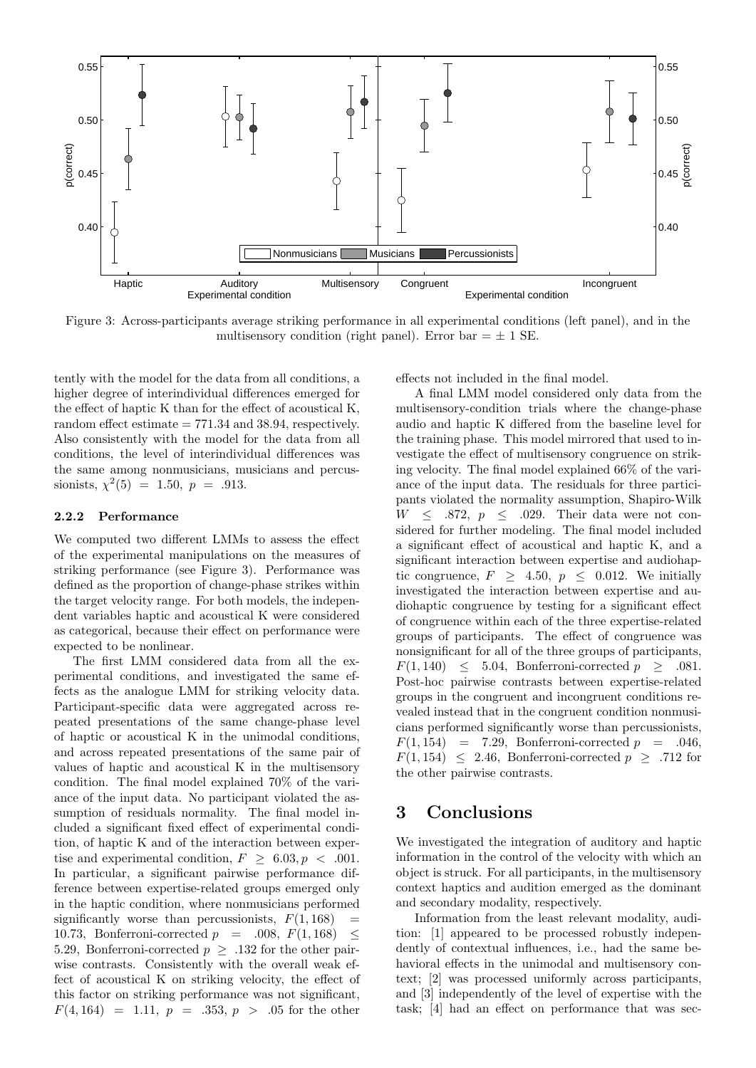

Figure 3: Across-participants average striking performance in all experimental conditions (left panel), and in the multisensory condition (right panel). Error bar  $= \pm 1$  SE.

tently with the model for the data from all conditions, a higher degree of interindividual differences emerged for the effect of haptic K than for the effect of acoustical K, random effect estimate  $= 771.34$  and 38.94, respectively. Also consistently with the model for the data from all conditions, the level of interindividual differences was the same among nonmusicians, musicians and percussionists,  $\chi^2(5) = 1.50, p = .913$ .

#### 2.2.2 Performance

We computed two different LMMs to assess the effect of the experimental manipulations on the measures of striking performance (see Figure 3). Performance was defined as the proportion of change-phase strikes within the target velocity range. For both models, the independent variables haptic and acoustical K were considered as categorical, because their effect on performance were expected to be nonlinear.

The first LMM considered data from all the experimental conditions, and investigated the same effects as the analogue LMM for striking velocity data. Participant-specific data were aggregated across repeated presentations of the same change-phase level of haptic or acoustical K in the unimodal conditions, and across repeated presentations of the same pair of values of haptic and acoustical K in the multisensory condition. The final model explained 70% of the variance of the input data. No participant violated the assumption of residuals normality. The final model included a significant fixed effect of experimental condition, of haptic K and of the interaction between expertise and experimental condition,  $F \geq 6.03, p \lt .001$ . In particular, a significant pairwise performance difference between expertise-related groups emerged only in the haptic condition, where nonmusicians performed significantly worse than percussionists,  $F(1, 168)$  = 10.73, Bonferroni-corrected  $p = .008, F(1, 168) \leq$ 5.29, Bonferroni-corrected  $p \geq .132$  for the other pairwise contrasts. Consistently with the overall weak effect of acoustical K on striking velocity, the effect of this factor on striking performance was not significant,  $F(4, 164) = 1.11, p = .353, p > .05$  for the other effects not included in the final model.

A final LMM model considered only data from the multisensory-condition trials where the change-phase audio and haptic K differed from the baseline level for the training phase. This model mirrored that used to investigate the effect of multisensory congruence on striking velocity. The final model explained 66% of the variance of the input data. The residuals for three participants violated the normality assumption, Shapiro-Wilk  $W \leq .872, p \leq .029$ . Their data were not considered for further modeling. The final model included a significant effect of acoustical and haptic K, and a significant interaction between expertise and audiohaptic congruence,  $F \geq 4.50, p \leq 0.012$ . We initially investigated the interaction between expertise and audiohaptic congruence by testing for a significant effect of congruence within each of the three expertise-related groups of participants. The effect of congruence was nonsignificant for all of the three groups of participants,  $F(1, 140) \leq 5.04$ , Bonferroni-corrected  $p \geq .081$ . Post-hoc pairwise contrasts between expertise-related groups in the congruent and incongruent conditions revealed instead that in the congruent condition nonmusicians performed significantly worse than percussionists,  $F(1, 154) = 7.29$ , Bonferroni-corrected  $p = .046$ ,  $F(1, 154) \leq 2.46$ , Bonferroni-corrected  $p > .712$  for the other pairwise contrasts.

## 3 Conclusions

We investigated the integration of auditory and haptic information in the control of the velocity with which an object is struck. For all participants, in the multisensory context haptics and audition emerged as the dominant and secondary modality, respectively.

Information from the least relevant modality, audition: [1] appeared to be processed robustly independently of contextual influences, i.e., had the same behavioral effects in the unimodal and multisensory context; [2] was processed uniformly across participants, and [3] independently of the level of expertise with the task; [4] had an effect on performance that was sec